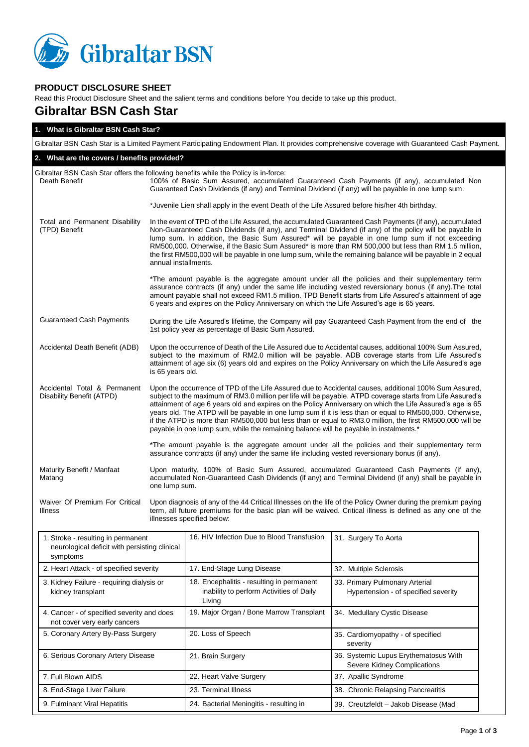

## **PRODUCT DISCLOSURE SHEET**

Read this Product Disclosure Sheet and the salient terms and conditions before You decide to take up this product.

## **Gibraltar BSN Cash Star**

| 1. What is Gibraltar BSN Cash Star?                                                                                                         |                                                                                                                                                                                                                                                                                                                                                                                                                                                                                                                                                                                                                                                  |                                                                                                                                                                                                 |                                                                                                                                                                                                                                                                                                                        |  |  |
|---------------------------------------------------------------------------------------------------------------------------------------------|--------------------------------------------------------------------------------------------------------------------------------------------------------------------------------------------------------------------------------------------------------------------------------------------------------------------------------------------------------------------------------------------------------------------------------------------------------------------------------------------------------------------------------------------------------------------------------------------------------------------------------------------------|-------------------------------------------------------------------------------------------------------------------------------------------------------------------------------------------------|------------------------------------------------------------------------------------------------------------------------------------------------------------------------------------------------------------------------------------------------------------------------------------------------------------------------|--|--|
| Gibraltar BSN Cash Star is a Limited Payment Participating Endowment Plan. It provides comprehensive coverage with Guaranteed Cash Payment. |                                                                                                                                                                                                                                                                                                                                                                                                                                                                                                                                                                                                                                                  |                                                                                                                                                                                                 |                                                                                                                                                                                                                                                                                                                        |  |  |
| 2. What are the covers / benefits provided?                                                                                                 |                                                                                                                                                                                                                                                                                                                                                                                                                                                                                                                                                                                                                                                  |                                                                                                                                                                                                 |                                                                                                                                                                                                                                                                                                                        |  |  |
| Gibraltar BSN Cash Star offers the following benefits while the Policy is in-force:<br>Death Benefit                                        |                                                                                                                                                                                                                                                                                                                                                                                                                                                                                                                                                                                                                                                  | 100% of Basic Sum Assured, accumulated Guaranteed Cash Payments (if any), accumulated Non<br>Guaranteed Cash Dividends (if any) and Terminal Dividend (if any) will be payable in one lump sum. |                                                                                                                                                                                                                                                                                                                        |  |  |
|                                                                                                                                             |                                                                                                                                                                                                                                                                                                                                                                                                                                                                                                                                                                                                                                                  | *Juvenile Lien shall apply in the event Death of the Life Assured before his/her 4th birthday.                                                                                                  |                                                                                                                                                                                                                                                                                                                        |  |  |
| Total and Permanent Disability<br>(TPD) Benefit                                                                                             | In the event of TPD of the Life Assured, the accumulated Guaranteed Cash Payments (if any), accumulated<br>Non-Guaranteed Cash Dividends (if any), and Terminal Dividend (if any) of the policy will be payable in<br>lump sum. In addition, the Basic Sum Assured* will be payable in one lump sum if not exceeding<br>RM500,000. Otherwise, if the Basic Sum Assured* is more than RM 500,000 but less than RM 1.5 million,<br>the first RM500,000 will be payable in one lump sum, while the remaining balance will be payable in 2 equal<br>annual installments.                                                                             |                                                                                                                                                                                                 |                                                                                                                                                                                                                                                                                                                        |  |  |
|                                                                                                                                             |                                                                                                                                                                                                                                                                                                                                                                                                                                                                                                                                                                                                                                                  | 6 years and expires on the Policy Anniversary on which the Life Assured's age is 65 years.                                                                                                      | *The amount payable is the aggregate amount under all the policies and their supplementary term<br>assurance contracts (if any) under the same life including vested reversionary bonus (if any). The total<br>amount payable shall not exceed RM1.5 million. TPD Benefit starts from Life Assured's attainment of age |  |  |
| <b>Guaranteed Cash Payments</b>                                                                                                             | During the Life Assured's lifetime, the Company will pay Guaranteed Cash Payment from the end of the<br>1st policy year as percentage of Basic Sum Assured.                                                                                                                                                                                                                                                                                                                                                                                                                                                                                      |                                                                                                                                                                                                 |                                                                                                                                                                                                                                                                                                                        |  |  |
| Accidental Death Benefit (ADB)                                                                                                              | Upon the occurrence of Death of the Life Assured due to Accidental causes, additional 100% Sum Assured,<br>subject to the maximum of RM2.0 million will be payable. ADB coverage starts from Life Assured's<br>attainment of age six (6) years old and expires on the Policy Anniversary on which the Life Assured's age<br>is 65 years old.                                                                                                                                                                                                                                                                                                     |                                                                                                                                                                                                 |                                                                                                                                                                                                                                                                                                                        |  |  |
| Accidental Total & Permanent<br>Disability Benefit (ATPD)                                                                                   | Upon the occurrence of TPD of the Life Assured due to Accidental causes, additional 100% Sum Assured,<br>subject to the maximum of RM3.0 million per life will be payable. ATPD coverage starts from Life Assured's<br>attainment of age 6 years old and expires on the Policy Anniversary on which the Life Assured's age is 65<br>years old. The ATPD will be payable in one lump sum if it is less than or equal to RM500,000. Otherwise,<br>if the ATPD is more than RM500,000 but less than or equal to RM3.0 million, the first RM500,000 will be<br>payable in one lump sum, while the remaining balance will be payable in instalments.* |                                                                                                                                                                                                 |                                                                                                                                                                                                                                                                                                                        |  |  |
|                                                                                                                                             |                                                                                                                                                                                                                                                                                                                                                                                                                                                                                                                                                                                                                                                  | assurance contracts (if any) under the same life including vested reversionary bonus (if any).                                                                                                  | *The amount payable is the aggregate amount under all the policies and their supplementary term                                                                                                                                                                                                                        |  |  |
| Maturity Benefit / Manfaat<br>Matang                                                                                                        | Upon maturity, 100% of Basic Sum Assured, accumulated Guaranteed Cash Payments (if any),<br>accumulated Non-Guaranteed Cash Dividends (if any) and Terminal Dividend (if any) shall be payable in<br>one lump sum.                                                                                                                                                                                                                                                                                                                                                                                                                               |                                                                                                                                                                                                 |                                                                                                                                                                                                                                                                                                                        |  |  |
| Waiver Of Premium For Critical<br>Illness                                                                                                   | Upon diagnosis of any of the 44 Critical Illnesses on the life of the Policy Owner during the premium paying<br>term, all future premiums for the basic plan will be waived. Critical illness is defined as any one of the<br>illnesses specified below:                                                                                                                                                                                                                                                                                                                                                                                         |                                                                                                                                                                                                 |                                                                                                                                                                                                                                                                                                                        |  |  |
| 1. Stroke - resulting in permanent<br>neurological deficit with persisting clinical<br>symptoms                                             |                                                                                                                                                                                                                                                                                                                                                                                                                                                                                                                                                                                                                                                  | 16. HIV Infection Due to Blood Transfusion                                                                                                                                                      | 31. Surgery To Aorta                                                                                                                                                                                                                                                                                                   |  |  |
| 2. Heart Attack - of specified severity                                                                                                     |                                                                                                                                                                                                                                                                                                                                                                                                                                                                                                                                                                                                                                                  | 17. End-Stage Lung Disease                                                                                                                                                                      | 32. Multiple Sclerosis                                                                                                                                                                                                                                                                                                 |  |  |
| 3. Kidney Failure - requiring dialysis or<br>kidney transplant                                                                              |                                                                                                                                                                                                                                                                                                                                                                                                                                                                                                                                                                                                                                                  | 18. Encephalitis - resulting in permanent<br>inability to perform Activities of Daily<br>Living                                                                                                 | 33. Primary Pulmonary Arterial<br>Hypertension - of specified severity                                                                                                                                                                                                                                                 |  |  |
| 4. Cancer - of specified severity and does<br>not cover very early cancers                                                                  |                                                                                                                                                                                                                                                                                                                                                                                                                                                                                                                                                                                                                                                  | 19. Major Organ / Bone Marrow Transplant                                                                                                                                                        | 34. Medullary Cystic Disease                                                                                                                                                                                                                                                                                           |  |  |
| 5. Coronary Artery By-Pass Surgery                                                                                                          |                                                                                                                                                                                                                                                                                                                                                                                                                                                                                                                                                                                                                                                  | 20. Loss of Speech                                                                                                                                                                              | 35. Cardiomyopathy - of specified<br>severity                                                                                                                                                                                                                                                                          |  |  |
| 6. Serious Coronary Artery Disease                                                                                                          |                                                                                                                                                                                                                                                                                                                                                                                                                                                                                                                                                                                                                                                  | 21. Brain Surgery                                                                                                                                                                               | 36. Systemic Lupus Erythematosus With<br>Severe Kidney Complications                                                                                                                                                                                                                                                   |  |  |
| 7. Full Blown AIDS                                                                                                                          |                                                                                                                                                                                                                                                                                                                                                                                                                                                                                                                                                                                                                                                  | 22. Heart Valve Surgery                                                                                                                                                                         | 37. Apallic Syndrome                                                                                                                                                                                                                                                                                                   |  |  |
| 8. End-Stage Liver Failure                                                                                                                  |                                                                                                                                                                                                                                                                                                                                                                                                                                                                                                                                                                                                                                                  | 23. Terminal Illness                                                                                                                                                                            | 38. Chronic Relapsing Pancreatitis                                                                                                                                                                                                                                                                                     |  |  |
| 9. Fulminant Viral Hepatitis                                                                                                                |                                                                                                                                                                                                                                                                                                                                                                                                                                                                                                                                                                                                                                                  | 24. Bacterial Meningitis - resulting in                                                                                                                                                         | 39. Creutzfeldt - Jakob Disease (Mad                                                                                                                                                                                                                                                                                   |  |  |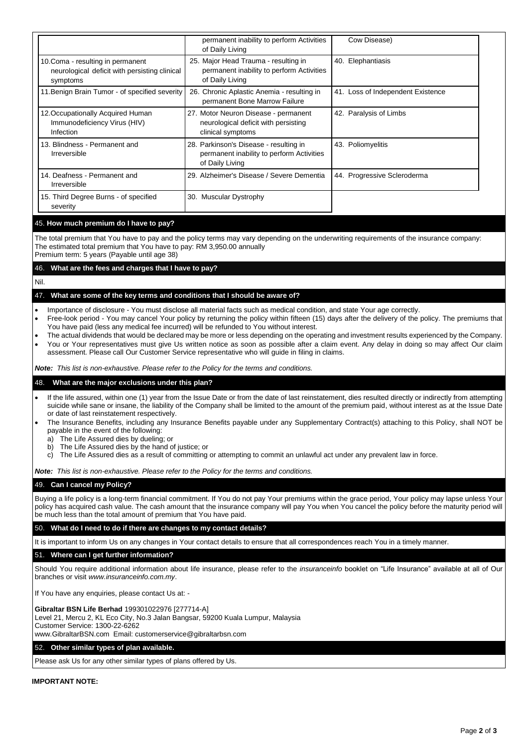|                                                                                                                                                                                                            | permanent inability to perform Activities<br>of Daily Living                                                                                                                                                                | Cow Disease)                                                                                                                                                                                                                                                                                                                                                                                                                                                     |  |  |
|------------------------------------------------------------------------------------------------------------------------------------------------------------------------------------------------------------|-----------------------------------------------------------------------------------------------------------------------------------------------------------------------------------------------------------------------------|------------------------------------------------------------------------------------------------------------------------------------------------------------------------------------------------------------------------------------------------------------------------------------------------------------------------------------------------------------------------------------------------------------------------------------------------------------------|--|--|
| 10.Coma - resulting in permanent<br>neurological deficit with persisting clinical<br>symptoms                                                                                                              | 25. Major Head Trauma - resulting in<br>permanent inability to perform Activities<br>of Daily Living                                                                                                                        | 40. Elephantiasis                                                                                                                                                                                                                                                                                                                                                                                                                                                |  |  |
| 11. Benign Brain Tumor - of specified severity                                                                                                                                                             | 26. Chronic Aplastic Anemia - resulting in<br>permanent Bone Marrow Failure                                                                                                                                                 | 41. Loss of Independent Existence                                                                                                                                                                                                                                                                                                                                                                                                                                |  |  |
| 12. Occupationally Acquired Human<br>Immunodeficiency Virus (HIV)<br>Infection                                                                                                                             | 27. Motor Neuron Disease - permanent<br>neurological deficit with persisting<br>clinical symptoms                                                                                                                           | 42. Paralysis of Limbs                                                                                                                                                                                                                                                                                                                                                                                                                                           |  |  |
| 13. Blindness - Permanent and<br>Irreversible                                                                                                                                                              | 28. Parkinson's Disease - resulting in<br>permanent inability to perform Activities<br>of Daily Living                                                                                                                      | 43. Poliomyelitis                                                                                                                                                                                                                                                                                                                                                                                                                                                |  |  |
| 14. Deafness - Permanent and<br>Irreversible                                                                                                                                                               | 29. Alzheimer's Disease / Severe Dementia                                                                                                                                                                                   | 44. Progressive Scleroderma                                                                                                                                                                                                                                                                                                                                                                                                                                      |  |  |
| 15. Third Degree Burns - of specified<br>severity                                                                                                                                                          | 30. Muscular Dystrophy                                                                                                                                                                                                      |                                                                                                                                                                                                                                                                                                                                                                                                                                                                  |  |  |
| 45. How much premium do I have to pay?                                                                                                                                                                     |                                                                                                                                                                                                                             |                                                                                                                                                                                                                                                                                                                                                                                                                                                                  |  |  |
| The estimated total premium that You have to pay: RM 3,950.00 annually<br>Premium term: 5 years (Payable until age 38)                                                                                     |                                                                                                                                                                                                                             | The total premium that You have to pay and the policy terms may vary depending on the underwriting requirements of the insurance company:                                                                                                                                                                                                                                                                                                                        |  |  |
| 46. What are the fees and charges that I have to pay?                                                                                                                                                      |                                                                                                                                                                                                                             |                                                                                                                                                                                                                                                                                                                                                                                                                                                                  |  |  |
| Nil.                                                                                                                                                                                                       |                                                                                                                                                                                                                             |                                                                                                                                                                                                                                                                                                                                                                                                                                                                  |  |  |
| 47. What are some of the key terms and conditions that I should be aware of?                                                                                                                               |                                                                                                                                                                                                                             |                                                                                                                                                                                                                                                                                                                                                                                                                                                                  |  |  |
| $\bullet$<br>$\bullet$<br>You have paid (less any medical fee incurred) will be refunded to You without interest.<br>$\bullet$                                                                             | Importance of disclosure - You must disclose all material facts such as medical condition, and state Your age correctly.<br>assessment. Please call Our Customer Service representative who will guide in filing in claims. | Free-look period - You may cancel Your policy by returning the policy within fifteen (15) days after the delivery of the policy. The premiums that<br>The actual dividends that would be declared may be more or less depending on the operating and investment results experienced by the Company.<br>You or Your representatives must give Us written notice as soon as possible after a claim event. Any delay in doing so may affect Our claim               |  |  |
| <b>Note:</b> This list is non-exhaustive. Please refer to the Policy for the terms and conditions.                                                                                                         |                                                                                                                                                                                                                             |                                                                                                                                                                                                                                                                                                                                                                                                                                                                  |  |  |
| What are the major exclusions under this plan?<br>48.                                                                                                                                                      |                                                                                                                                                                                                                             |                                                                                                                                                                                                                                                                                                                                                                                                                                                                  |  |  |
| $\bullet$<br>or date of last reinstatement respectively.<br>payable in the event of the following:<br>The Life Assured dies by dueling; or<br>The Life Assured dies by the hand of justice; or<br>b)<br>C) | The Life Assured dies as a result of committing or attempting to commit an unlawful act under any prevalent law in force.                                                                                                   | If the life assured, within one (1) year from the Issue Date or from the date of last reinstatement, dies resulted directly or indirectly from attempting<br>suicide while sane or insane, the liability of the Company shall be limited to the amount of the premium paid, without interest as at the Issue Date<br>The Insurance Benefits, including any Insurance Benefits payable under any Supplementary Contract(s) attaching to this Policy, shall NOT be |  |  |
| <b>Note:</b> This list is non-exhaustive. Please refer to the Policy for the terms and conditions.                                                                                                         |                                                                                                                                                                                                                             |                                                                                                                                                                                                                                                                                                                                                                                                                                                                  |  |  |
| 49. Can I cancel my Policy?                                                                                                                                                                                |                                                                                                                                                                                                                             |                                                                                                                                                                                                                                                                                                                                                                                                                                                                  |  |  |
| be much less than the total amount of premium that You have paid.                                                                                                                                          |                                                                                                                                                                                                                             | Buying a life policy is a long-term financial commitment. If You do not pay Your premiums within the grace period, Your policy may lapse unless Your<br>policy has acquired cash value. The cash amount that the insurance company will pay You when You cancel the policy before the maturity period will                                                                                                                                                       |  |  |
| 50. What do I need to do if there are changes to my contact details?                                                                                                                                       |                                                                                                                                                                                                                             |                                                                                                                                                                                                                                                                                                                                                                                                                                                                  |  |  |
| It is important to inform Us on any changes in Your contact details to ensure that all correspondences reach You in a timely manner.                                                                       |                                                                                                                                                                                                                             |                                                                                                                                                                                                                                                                                                                                                                                                                                                                  |  |  |
| 51. Where can I get further information?                                                                                                                                                                   |                                                                                                                                                                                                                             |                                                                                                                                                                                                                                                                                                                                                                                                                                                                  |  |  |
| Should You require additional information about life insurance, please refer to the insuranceinfo booklet on "Life Insurance" available at all of Our<br>branches or visit www.insuranceinfo.com.my.       |                                                                                                                                                                                                                             |                                                                                                                                                                                                                                                                                                                                                                                                                                                                  |  |  |
| If You have any enquiries, please contact Us at: -                                                                                                                                                         |                                                                                                                                                                                                                             |                                                                                                                                                                                                                                                                                                                                                                                                                                                                  |  |  |
| Gibraltar BSN Life Berhad 199301022976 [277714-A]<br>Level 21, Mercu 2, KL Eco City, No.3 Jalan Bangsar, 59200 Kuala Lumpur, Malaysia                                                                      |                                                                                                                                                                                                                             |                                                                                                                                                                                                                                                                                                                                                                                                                                                                  |  |  |

Customer Service: 1300-22-6262

www.GibraltarBSN.com Email: customerservice@gibraltarbsn.com

## 52. **Other similar types of plan available.**

Please ask Us for any other similar types of plans offered by Us.

## **IMPORTANT NOTE:**